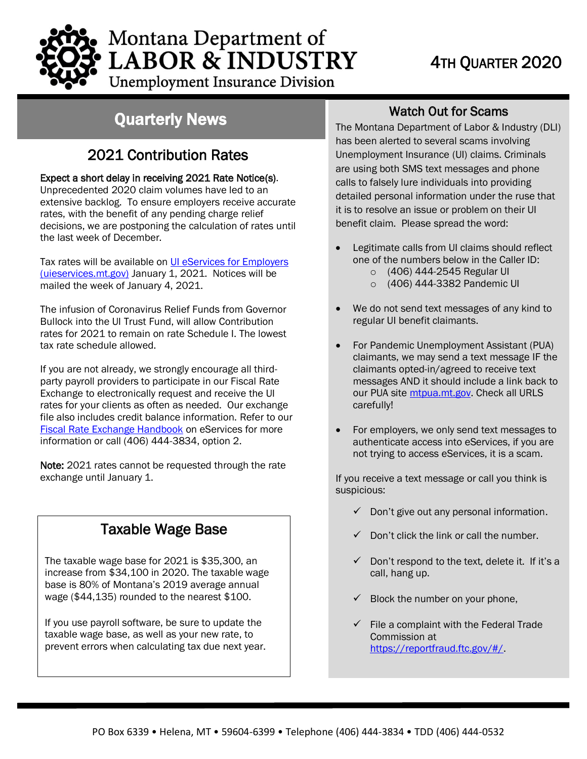# Montana Department of **LABOR & INDUSTRY Unemployment Insurance Division**

# Quarterly News

# 2021 Contribution Rates

## Expect a short delay in receiving 2021 Rate Notice(s).

Unprecedented 2020 claim volumes have led to an extensive backlog. To ensure employers receive accurate rates, with the benefit of any pending charge relief decisions, we are postponing the calculation of rates until the last week of December.

Tax rates will be available on UI eServices for Employers (uieservices.mt.gov) January 1, 2021. Notices will be mailed the week of January 4, 2021.

The infusion of Coronavirus Relief Funds from Governor Bullock into the UI Trust Fund, will allow Contribution rates for 2021 to remain on rate Schedule I. The lowest tax rate schedule allowed.

If you are not already, we strongly encourage all thirdparty payroll providers to participate in our Fiscal Rate Exchange to electronically request and receive the UI rates for your clients as often as needed. Our exchange file also includes credit balance information. Refer to our Fiscal Rate Exchange Handbook on eServices for more information or call (406) 444-3834, option 2.

Note: 2021 rates cannot be requested through the rate exchange until January 1.

# Taxable Wage Base

The taxable wage base for 2021 is \$35,300, an increase from \$34,100 in 2020. The taxable wage base is 80% of Montana's 2019 average annual wage (\$44,135) rounded to the nearest \$100.

If you use payroll software, be sure to update the taxable wage base, as well as your new rate, to prevent errors when calculating tax due next year.

## Watch Out for Scams

The Montana Department of Labor & Industry (DLI) has been alerted to several scams involving Unemployment Insurance (UI) claims. Criminals are using both SMS text messages and phone calls to falsely lure individuals into providing detailed personal information under the ruse that it is to resolve an issue or problem on their UI benefit claim. Please spread the word:

- Legitimate calls from UI claims should reflect one of the numbers below in the Caller ID:
	- o (406) 444-2545 Regular UI
	- o (406) 444-3382 Pandemic UI
- We do not send text messages of any kind to regular UI benefit claimants.
- For Pandemic Unemployment Assistant (PUA) claimants, we may send a text message IF the claimants opted-in/agreed to receive text messages AND it should include a link back to our PUA site mtpua.mt.gov. Check all URLS carefully!
- For employers, we only send text messages to authenticate access into eServices, if you are not trying to access eServices, it is a scam.

If you receive a text message or call you think is suspicious:

- ✓ Don't give out any personal information.
- $\checkmark$  Don't click the link or call the number.
- $\checkmark$  Don't respond to the text, delete it. If it's a call, hang up.
- $\checkmark$  Block the number on your phone,
- File a complaint with the Federal Trade Commission at https://reportfraud.ftc.gov/#/.